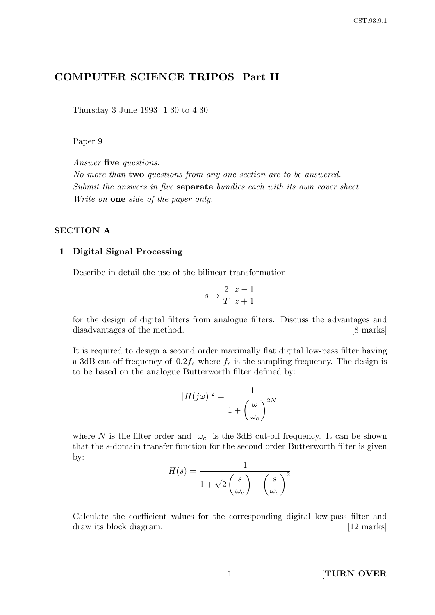# COMPUTER SCIENCE TRIPOS Part II

Thursday 3 June 1993 1.30 to 4.30

#### Paper 9

Answer five questions.

No more than two questions from any one section are to be answered. Submit the answers in five **separate** bundles each with its own cover sheet. Write on **one** side of the paper only.

### SECTION A

#### 1 Digital Signal Processing

Describe in detail the use of the bilinear transformation

$$
s \to \frac{2}{T} \frac{z-1}{z+1}
$$

for the design of digital filters from analogue filters. Discuss the advantages and disadvantages of the method. [8 marks]

It is required to design a second order maximally flat digital low-pass filter having a 3dB cut-off frequency of  $0.2f_s$  where  $f_s$  is the sampling frequency. The design is to be based on the analogue Butterworth filter defined by:

$$
|H(j\omega)|^2 = \frac{1}{1+\left(\frac{\omega}{\omega_c}\right)^{2N}}
$$

where N is the filter order and  $\omega_c$  is the 3dB cut-off frequency. It can be shown that the s-domain transfer function for the second order Butterworth filter is given by:

$$
H(s) = \frac{1}{1 + \sqrt{2} \left(\frac{s}{\omega_c}\right) + \left(\frac{s}{\omega_c}\right)^2}
$$

Calculate the coefficient values for the corresponding digital low-pass filter and draw its block diagram. [12 marks]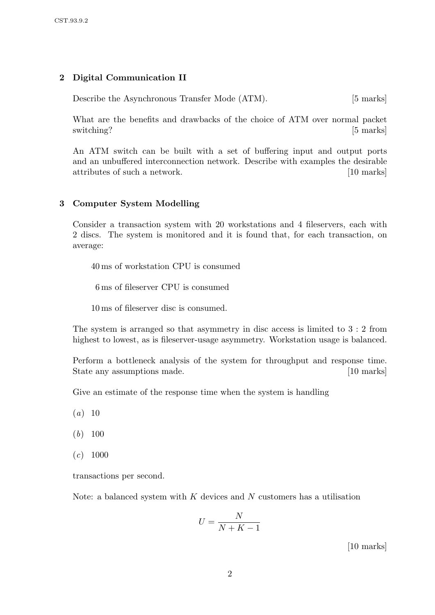### 2 Digital Communication II

Describe the Asynchronous Transfer Mode (ATM). [5 marks]

What are the benefits and drawbacks of the choice of ATM over normal packet switching? [5 marks]

An ATM switch can be built with a set of buffering input and output ports and an unbuffered interconnection network. Describe with examples the desirable attributes of such a network. [10 marks]

### 3 Computer System Modelling

Consider a transaction system with 20 workstations and 4 fileservers, each with 2 discs. The system is monitored and it is found that, for each transaction, on average:

40 ms of workstation CPU is consumed

6 ms of fileserver CPU is consumed

10 ms of fileserver disc is consumed.

The system is arranged so that asymmetry in disc access is limited to 3 : 2 from highest to lowest, as is fileserver-usage asymmetry. Workstation usage is balanced.

Perform a bottleneck analysis of the system for throughput and response time. State any assumptions made. [10 marks]

Give an estimate of the response time when the system is handling

- $(a) 10$
- $(b)$  100
- $(c)$  1000

transactions per second.

Note: a balanced system with  $K$  devices and  $N$  customers has a utilisation

$$
U=\frac{N}{N+K-1}
$$

[10 marks]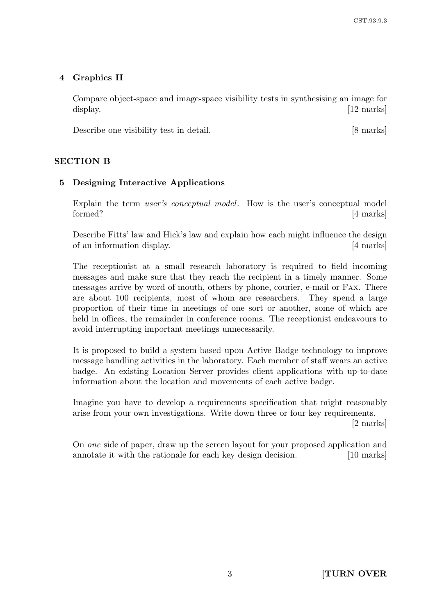# 4 Graphics II

Compare object-space and image-space visibility tests in synthesising an image for display. [12 marks]

Describe one visibility test in detail. [8 marks]

## SECTION B

## 5 Designing Interactive Applications

Explain the term *user's conceptual model*. How is the user's conceptual model formed? [4 marks]

Describe Fitts' law and Hick's law and explain how each might influence the design of an information display. [4 marks]

The receptionist at a small research laboratory is required to field incoming messages and make sure that they reach the recipient in a timely manner. Some messages arrive by word of mouth, others by phone, courier, e-mail or FAX. There are about 100 recipients, most of whom are researchers. They spend a large proportion of their time in meetings of one sort or another, some of which are held in offices, the remainder in conference rooms. The receptionist endeavours to avoid interrupting important meetings unnecessarily.

It is proposed to build a system based upon Active Badge technology to improve message handling activities in the laboratory. Each member of staff wears an active badge. An existing Location Server provides client applications with up-to-date information about the location and movements of each active badge.

Imagine you have to develop a requirements specification that might reasonably arise from your own investigations. Write down three or four key requirements.

[2 marks]

On one side of paper, draw up the screen layout for your proposed application and annotate it with the rationale for each key design decision. [10 marks]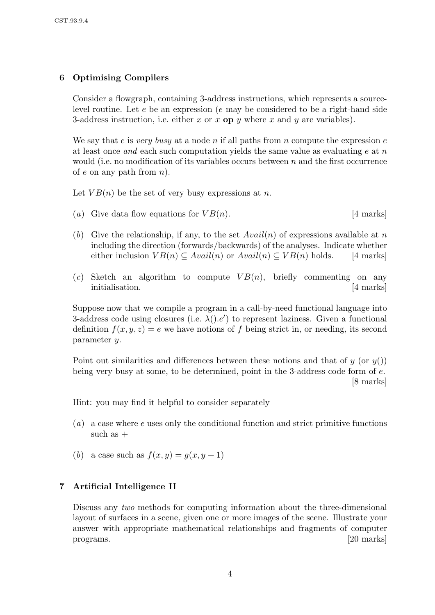### 6 Optimising Compilers

Consider a flowgraph, containing 3-address instructions, which represents a sourcelevel routine. Let  $e$  be an expression ( $e$  may be considered to be a right-hand side 3-address instruction, i.e. either x or x op y where x and y are variables).

We say that e is very busy at a node n if all paths from n compute the expression  $e$ at least once and each such computation yields the same value as evaluating  $e$  at n would (i.e. no modification of its variables occurs between  $n$  and the first occurrence of e on any path from  $n$ ).

Let  $VB(n)$  be the set of very busy expressions at n.

- (a) Give data flow equations for  $VB(n)$ . [4 marks]
- (b) Give the relationship, if any, to the set  $Avail(n)$  of expressions available at n including the direction (forwards/backwards) of the analyses. Indicate whether either inclusion  $VB(n) \subseteq Available(n)$  or  $Avail(n) \subseteq VB(n)$  holds. [4 marks]
- (c) Sketch an algorithm to compute  $VB(n)$ , briefly commenting on any initialisation. [4 marks]

Suppose now that we compile a program in a call-by-need functional language into 3-address code using closures (i.e.  $\lambda(.) . e')$  to represent laziness. Given a functional definition  $f(x, y, z) = e$  we have notions of f being strict in, or needing, its second parameter y.

Point out similarities and differences between these notions and that of  $y$  (or  $y()$ ) being very busy at some, to be determined, point in the 3-address code form of e. [8 marks]

Hint: you may find it helpful to consider separately

- $(a)$  a case where e uses only the conditional function and strict primitive functions such as  $+$
- (b) a case such as  $f(x, y) = g(x, y + 1)$

### 7 Artificial Intelligence II

Discuss any two methods for computing information about the three-dimensional layout of surfaces in a scene, given one or more images of the scene. Illustrate your answer with appropriate mathematical relationships and fragments of computer programs. [20 marks]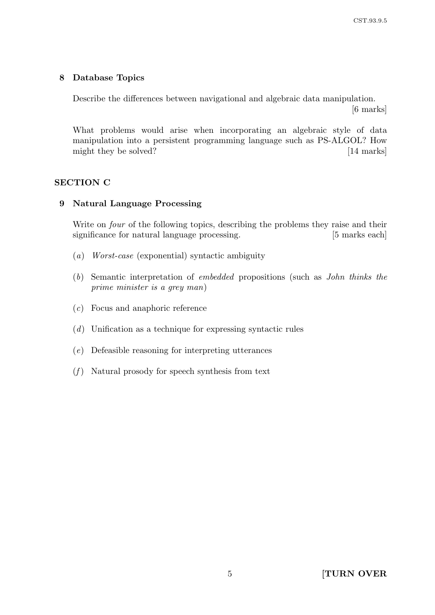### 8 Database Topics

Describe the differences between navigational and algebraic data manipulation. [6 marks]

What problems would arise when incorporating an algebraic style of data manipulation into a persistent programming language such as PS-ALGOL? How might they be solved? [14 marks]

### SECTION C

### 9 Natural Language Processing

Write on *four* of the following topics, describing the problems they raise and their significance for natural language processing. [5 marks each]

- (a) Worst-case (exponential) syntactic ambiguity
- (b) Semantic interpretation of embedded propositions (such as John thinks the prime minister is a grey man)
- (c) Focus and anaphoric reference
- (d) Unification as a technique for expressing syntactic rules
- (e) Defeasible reasoning for interpreting utterances
- $(f)$  Natural prosody for speech synthesis from text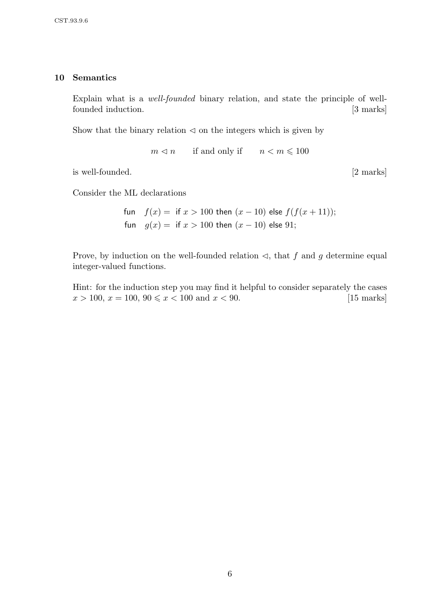### 10 Semantics

Explain what is a well-founded binary relation, and state the principle of wellfounded induction. [3 marks]

Show that the binary relation  $\leq$  on the integers which is given by

 $m \leq n$  if and only if  $n < m \leq 100$ 

is well-founded. [2 marks]

Consider the ML declarations

fun  $f(x) =$  if  $x > 100$  then  $(x - 10)$  else  $f(f(x + 11));$ fun  $g(x) =$  if  $x > 100$  then  $(x - 10)$  else 91;

Prove, by induction on the well-founded relation  $\triangleleft$ , that f and g determine equal integer-valued functions.

Hint: for the induction step you may find it helpful to consider separately the cases  $x > 100, x = 100, 90 \le x < 100 \text{ and } x < 90.$  [15 marks]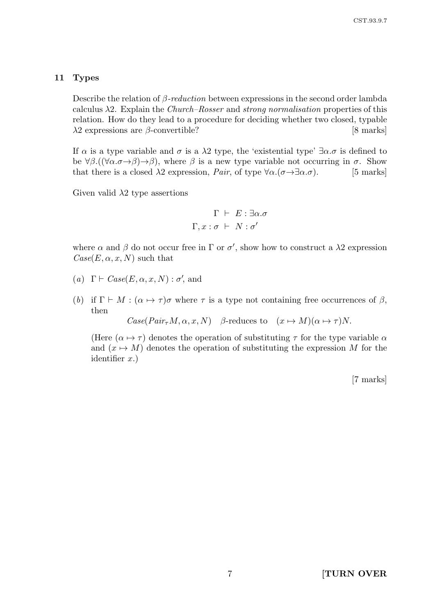#### 11 Types

Describe the relation of  $\beta$ -reduction between expressions in the second order lambda calculus  $\lambda$ 2. Explain the *Church–Rosser* and *strong normalisation* properties of this relation. How do they lead to a procedure for deciding whether two closed, typable  $\lambda$ 2 expressions are β-convertible? [8 marks]

If  $\alpha$  is a type variable and  $\sigma$  is a  $\lambda$ 2 type, the 'existential type'  $\exists \alpha.\sigma$  is defined to be  $\forall \beta.((\forall \alpha.\sigma \rightarrow \beta) \rightarrow \beta)$ , where  $\beta$  is a new type variable not occurring in  $\sigma$ . Show that there is a closed  $\lambda$ 2 expression, *Pair*, of type  $\forall \alpha.(\sigma \rightarrow \exists \alpha.\sigma)$ . [5 marks]

Given valid  $\lambda$ 2 type assertions

$$
\Gamma \vdash E : \exists \alpha . \sigma
$$

$$
\Gamma, x : \sigma \vdash N : \sigma'
$$

where  $\alpha$  and  $\beta$  do not occur free in  $\Gamma$  or  $\sigma'$ , show how to construct a  $\lambda$ 2 expression  $Case (E, \alpha, x, N)$  such that

- (a)  $\Gamma \vdash Case(E, \alpha, x, N) : \sigma'$ , and
- (b) if  $\Gamma \vdash M : (\alpha \mapsto \tau)\sigma$  where  $\tau$  is a type not containing free occurrences of  $\beta$ , then

 $Case(Pair_{\tau}M, \alpha, x, N)$  β-reduces to  $(x \mapsto M)(\alpha \mapsto \tau)N$ .

(Here  $(\alpha \mapsto \tau)$ ) denotes the operation of substituting  $\tau$  for the type variable  $\alpha$ and  $(x \mapsto M)$  denotes the operation of substituting the expression M for the identifier  $x$ .)

[7 marks]